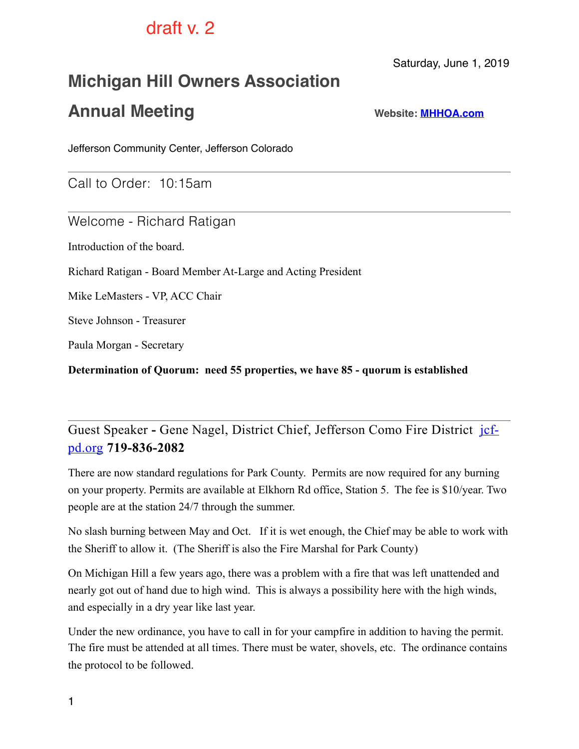# draft v. 2

Saturday, June 1, 2019

# **Michigan Hill Owners Association**

# **Annual Meeting Website: [MHHOA.com](http://mhhoa.com)**

Jefferson Community Center, Jefferson Colorado

Call to Order: 10:15am

Welcome - Richard Ratigan

Introduction of the board.

Richard Ratigan - Board Member At-Large and Acting President

Mike LeMasters - VP, ACC Chair

Steve Johnson - Treasurer

Paula Morgan - Secretary

**Determination of Quorum: need 55 properties, we have 85 - quorum is established** 

Guest Speaker **-** [Gene Nagel, District Chief, Jefferson Como Fire District](http://jcfpd.org)jcfpd.org **719-836-2082** 

There are now standard regulations for Park County. Permits are now required for any burning on your property. Permits are available at Elkhorn Rd office, Station 5. The fee is \$10/year. Two people are at the station 24/7 through the summer.

No slash burning between May and Oct. If it is wet enough, the Chief may be able to work with the Sheriff to allow it. (The Sheriff is also the Fire Marshal for Park County)

On Michigan Hill a few years ago, there was a problem with a fire that was left unattended and nearly got out of hand due to high wind. This is always a possibility here with the high winds, and especially in a dry year like last year.

Under the new ordinance, you have to call in for your campfire in addition to having the permit. The fire must be attended at all times. There must be water, shovels, etc. The ordinance contains the protocol to be followed.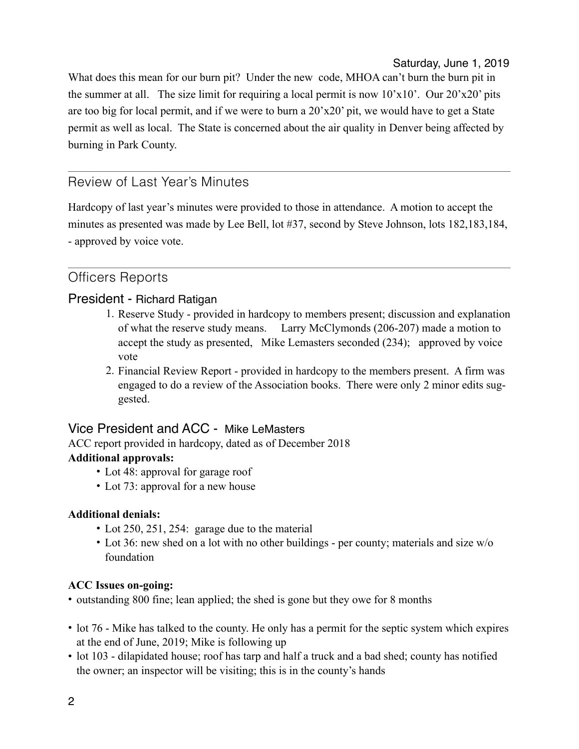Saturday, June 1, 2019

What does this mean for our burn pit? Under the new code, MHOA can't burn the burn pit in the summer at all. The size limit for requiring a local permit is now  $10^{\circ}x10^{\circ}$ . Our  $20^{\circ}x20^{\circ}$  pits are too big for local permit, and if we were to burn a 20'x20' pit, we would have to get a State permit as well as local. The State is concerned about the air quality in Denver being affected by burning in Park County.

## Review of Last Year's Minutes

Hardcopy of last year's minutes were provided to those in attendance. A motion to accept the minutes as presented was made by Lee Bell, lot #37, second by Steve Johnson, lots 182,183,184, - approved by voice vote.

## Officers Reports

### President - Richard Ratigan

- 1. Reserve Study provided in hardcopy to members present; discussion and explanation of what the reserve study means. Larry McClymonds (206-207) made a motion to accept the study as presented, Mike Lemasters seconded (234); approved by voice vote
- 2. Financial Review Report provided in hardcopy to the members present. A firm was engaged to do a review of the Association books. There were only 2 minor edits suggested.

### Vice President and ACC - Mike LeMasters

ACC report provided in hardcopy, dated as of December 2018

### **Additional approvals:**

- Lot 48: approval for garage roof
- Lot 73: approval for a new house

### **Additional denials:**

- Lot 250, 251, 254: garage due to the material
- Lot 36: new shed on a lot with no other buildings per county; materials and size w/o foundation

#### **ACC Issues on-going:**

- outstanding 800 fine; lean applied; the shed is gone but they owe for 8 months
- lot 76 Mike has talked to the county. He only has a permit for the septic system which expires at the end of June, 2019; Mike is following up
- lot 103 dilapidated house; roof has tarp and half a truck and a bad shed; county has notified the owner; an inspector will be visiting; this is in the county's hands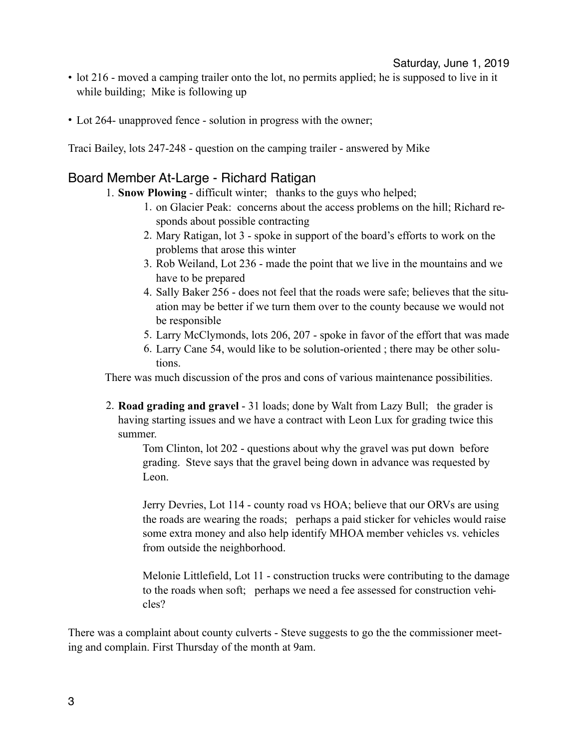- lot 216 moved a camping trailer onto the lot, no permits applied; he is supposed to live in it while building; Mike is following up
- Lot 264- unapproved fence solution in progress with the owner;

Traci Bailey, lots 247-248 - question on the camping trailer - answered by Mike

#### Board Member At-Large - Richard Ratigan

- 1. **Snow Plowing** difficult winter; thanks to the guys who helped;
	- 1. on Glacier Peak: concerns about the access problems on the hill; Richard responds about possible contracting
	- 2. Mary Ratigan, lot 3 spoke in support of the board's efforts to work on the problems that arose this winter
	- 3. Rob Weiland, Lot 236 made the point that we live in the mountains and we have to be prepared
	- 4. Sally Baker 256 does not feel that the roads were safe; believes that the situation may be better if we turn them over to the county because we would not be responsible
	- 5. Larry McClymonds, lots 206, 207 spoke in favor of the effort that was made
	- 6. Larry Cane 54, would like to be solution-oriented ; there may be other solutions.

There was much discussion of the pros and cons of various maintenance possibilities.

2. **Road grading and gravel** - 31 loads; done by Walt from Lazy Bull; the grader is having starting issues and we have a contract with Leon Lux for grading twice this summer.

Tom Clinton, lot 202 - questions about why the gravel was put down before grading. Steve says that the gravel being down in advance was requested by Leon.

Jerry Devries, Lot 114 - county road vs HOA; believe that our ORVs are using the roads are wearing the roads; perhaps a paid sticker for vehicles would raise some extra money and also help identify MHOA member vehicles vs. vehicles from outside the neighborhood.

Melonie Littlefield, Lot 11 - construction trucks were contributing to the damage to the roads when soft; perhaps we need a fee assessed for construction vehicles?

There was a complaint about county culverts - Steve suggests to go the the commissioner meeting and complain. First Thursday of the month at 9am.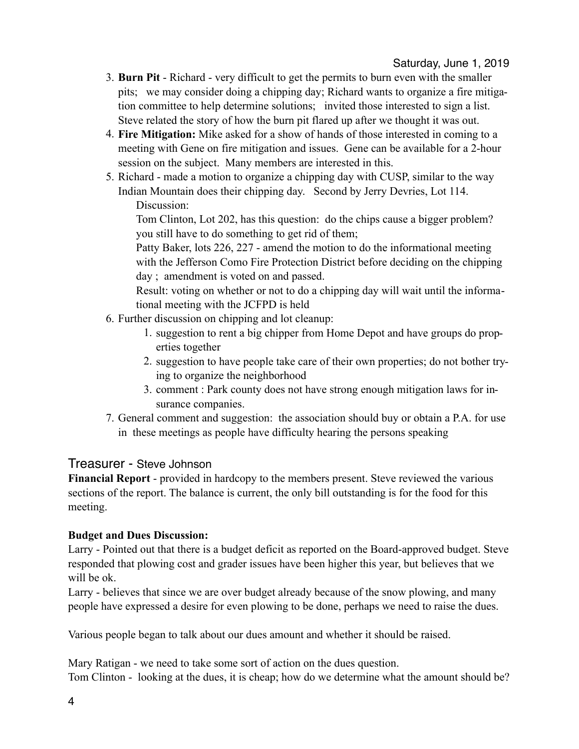- 3. **Burn Pit** Richard very difficult to get the permits to burn even with the smaller pits; we may consider doing a chipping day; Richard wants to organize a fire mitigation committee to help determine solutions; invited those interested to sign a list. Steve related the story of how the burn pit flared up after we thought it was out.
- 4. **Fire Mitigation:** Mike asked for a show of hands of those interested in coming to a meeting with Gene on fire mitigation and issues. Gene can be available for a 2-hour session on the subject. Many members are interested in this.
- 5. Richard made a motion to organize a chipping day with CUSP, similar to the way Indian Mountain does their chipping day. Second by Jerry Devries, Lot 114. Discussion:

Tom Clinton, Lot 202, has this question: do the chips cause a bigger problem? you still have to do something to get rid of them;

Patty Baker, lots 226, 227 - amend the motion to do the informational meeting with the Jefferson Como Fire Protection District before deciding on the chipping day ; amendment is voted on and passed.

Result: voting on whether or not to do a chipping day will wait until the informational meeting with the JCFPD is held

- 6. Further discussion on chipping and lot cleanup:
	- 1. suggestion to rent a big chipper from Home Depot and have groups do properties together
	- 2. suggestion to have people take care of their own properties; do not bother trying to organize the neighborhood
	- 3. comment : Park county does not have strong enough mitigation laws for insurance companies.
- 7. General comment and suggestion: the association should buy or obtain a P.A. for use in these meetings as people have difficulty hearing the persons speaking

#### Treasurer - Steve Johnson

**Financial Report** - provided in hardcopy to the members present. Steve reviewed the various sections of the report. The balance is current, the only bill outstanding is for the food for this meeting.

#### **Budget and Dues Discussion:**

Larry - Pointed out that there is a budget deficit as reported on the Board-approved budget. Steve responded that plowing cost and grader issues have been higher this year, but believes that we will be ok.

Larry - believes that since we are over budget already because of the snow plowing, and many people have expressed a desire for even plowing to be done, perhaps we need to raise the dues.

Various people began to talk about our dues amount and whether it should be raised.

Mary Ratigan - we need to take some sort of action on the dues question. Tom Clinton - looking at the dues, it is cheap; how do we determine what the amount should be?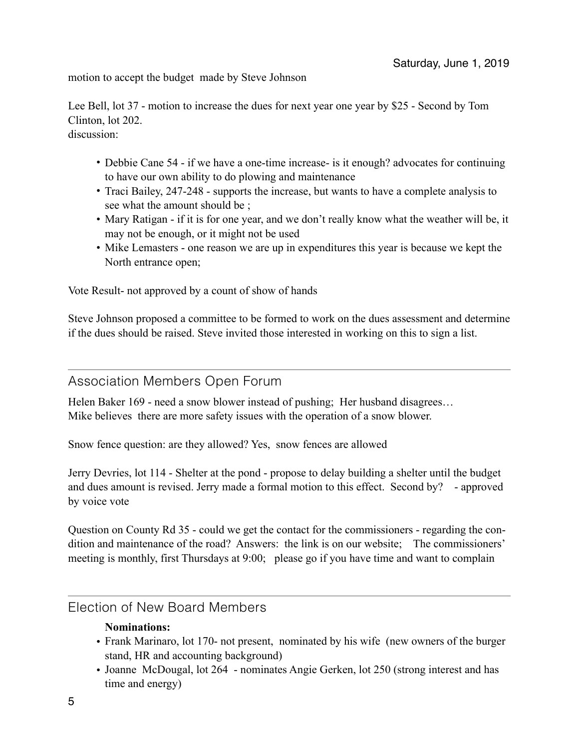motion to accept the budget made by Steve Johnson

Lee Bell, lot 37 - motion to increase the dues for next year one year by \$25 - Second by Tom Clinton, lot 202. discussion:

- Debbie Cane 54 if we have a one-time increase- is it enough? advocates for continuing to have our own ability to do plowing and maintenance
- Traci Bailey, 247-248 supports the increase, but wants to have a complete analysis to see what the amount should be ;
- Mary Ratigan if it is for one year, and we don't really know what the weather will be, it may not be enough, or it might not be used
- Mike Lemasters one reason we are up in expenditures this year is because we kept the North entrance open;

Vote Result- not approved by a count of show of hands

Steve Johnson proposed a committee to be formed to work on the dues assessment and determine if the dues should be raised. Steve invited those interested in working on this to sign a list.

#### Association Members Open Forum

Helen Baker 169 - need a snow blower instead of pushing; Her husband disagrees… Mike believes there are more safety issues with the operation of a snow blower.

Snow fence question: are they allowed? Yes, snow fences are allowed

Jerry Devries, lot 114 - Shelter at the pond - propose to delay building a shelter until the budget and dues amount is revised. Jerry made a formal motion to this effect. Second by? - approved by voice vote

Question on County Rd 35 - could we get the contact for the commissioners - regarding the condition and maintenance of the road? Answers: the link is on our website; The commissioners' meeting is monthly, first Thursdays at 9:00; please go if you have time and want to complain

### Election of New Board Members

#### **Nominations:**

- Frank Marinaro, lot 170- not present, nominated by his wife (new owners of the burger stand, HR and accounting background)
- Joanne McDougal, lot 264 nominates Angie Gerken, lot 250 (strong interest and has time and energy)